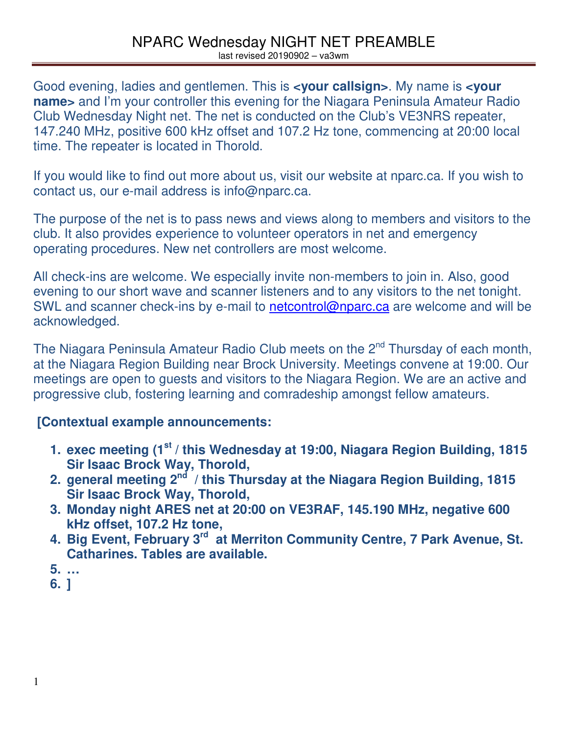Good evening, ladies and gentlemen. This is **<your callsign>**. My name is **<your name>** and I'm your controller this evening for the Niagara Peninsula Amateur Radio Club Wednesday Night net. The net is conducted on the Club's VE3NRS repeater, 147.240 MHz, positive 600 kHz offset and 107.2 Hz tone, commencing at 20:00 local time. The repeater is located in Thorold.

If you would like to find out more about us, visit our website at nparc.ca. If you wish to contact us, our e-mail address is info@nparc.ca.

The purpose of the net is to pass news and views along to members and visitors to the club. It also provides experience to volunteer operators in net and emergency operating procedures. New net controllers are most welcome.

All check-ins are welcome. We especially invite non-members to join in. Also, good evening to our short wave and scanner listeners and to any visitors to the net tonight. SWL and scanner check-ins by e-mail to netcontrol@nparc.ca are welcome and will be acknowledged.

The Niagara Peninsula Amateur Radio Club meets on the 2<sup>nd</sup> Thursday of each month, at the Niagara Region Building near Brock University. Meetings convene at 19:00. Our meetings are open to guests and visitors to the Niagara Region. We are an active and progressive club, fostering learning and comradeship amongst fellow amateurs.

## **[Contextual example announcements:**

- **1. exec meeting (1st / this Wednesday at 19:00, Niagara Region Building, 1815 Sir Isaac Brock Way, Thorold,**
- **2. general meeting 2nd / this Thursday at the Niagara Region Building, 1815 Sir Isaac Brock Way, Thorold,**
- **3. Monday night ARES net at 20:00 on VE3RAF, 145.190 MHz, negative 600 kHz offset, 107.2 Hz tone,**
- **4. Big Event, February 3rd at Merriton Community Centre, 7 Park Avenue, St. Catharines. Tables are available.**
- **5. …**
- **6. ]**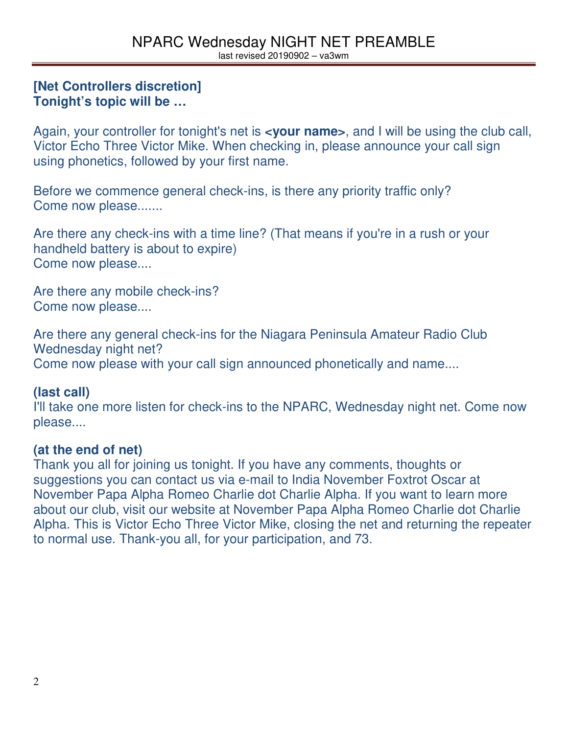#### **[Net Controllers discretion] Tonight's topic will be …**

Again, your controller for tonight's net is **<your name>**, and I will be using the club call, Victor Echo Three Victor Mike. When checking in, please announce your call sign using phonetics, followed by your first name.

Before we commence general check-ins, is there any priority traffic only? Come now please.......

Are there any check-ins with a time line? (That means if you're in a rush or your handheld battery is about to expire) Come now please....

Are there any mobile check-ins? Come now please....

Are there any general check-ins for the Niagara Peninsula Amateur Radio Club Wednesday night net? Come now please with your call sign announced phonetically and name....

## **(last call)**

I'll take one more listen for check-ins to the NPARC, Wednesday night net. Come now please....

## **(at the end of net)**

Thank you all for joining us tonight. If you have any comments, thoughts or suggestions you can contact us via e-mail to India November Foxtrot Oscar at November Papa Alpha Romeo Charlie dot Charlie Alpha. If you want to learn more about our club, visit our website at November Papa Alpha Romeo Charlie dot Charlie Alpha. This is Victor Echo Three Victor Mike, closing the net and returning the repeater to normal use. Thank-you all, for your participation, and 73.